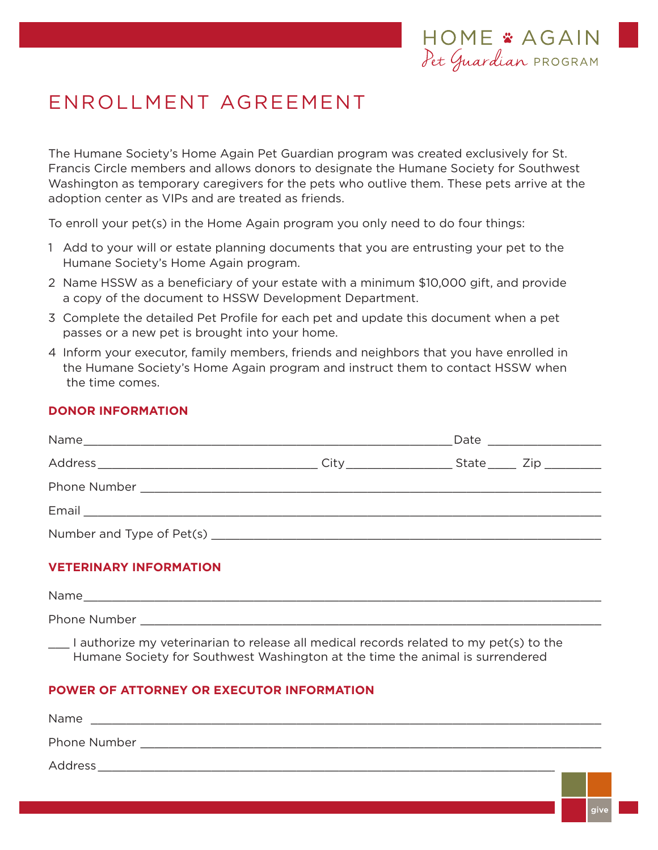# ENROLLMENT AGREEMENT

The Humane Society's Home Again Pet Guardian program was created exclusively for St. Francis Circle members and allows donors to designate the Humane Society for Southwest Washington as temporary caregivers for the pets who outlive them. These pets arrive at the adoption center as VIPs and are treated as friends.

To enroll your pet(s) in the Home Again program you only need to do four things:

- 1 Add to your will or estate planning documents that you are entrusting your pet to the Humane Society's Home Again program.
- 2 Name HSSW as a beneficiary of your estate with a minimum \$10,000 gift, and provide a copy of the document to HSSW Development Department.
- 3 Complete the detailed Pet Profile for each pet and update this document when a pet passes or a new pet is brought into your home.
- 4 Inform your executor, family members, friends and neighbors that you have enrolled in the Humane Society's Home Again program and instruct them to contact HSSW when the time comes.

### **DONOR INFORMATION**

| City_________________ | State _____ Zip ________ |
|-----------------------|--------------------------|
|                       |                          |
|                       |                          |
|                       |                          |

#### **VETERINARY INFORMATION**

| Name         |                                                                                                                                                                                                                               |   |   |  |
|--------------|-------------------------------------------------------------------------------------------------------------------------------------------------------------------------------------------------------------------------------|---|---|--|
| Phone Number |                                                                                                                                                                                                                               |   |   |  |
|              | 100 - Carolina Andrea (1964) - Carolina Andrea (1965) - Carolina Andrea (1965) - Carolina Andrea (1970) - Carolina Andrea (1970) - Carolina Andrea (1970) - Carolina Andrea (1970) - Carolina Andrea (1970) - Carolina Andrea | . | . |  |

I authorize my veterinarian to release all medical records related to my pet(s) to the Humane Society for Southwest Washington at the time the animal is surrendered

## **POWER OF ATTORNEY OR EXECUTOR INFORMATION**

| Name         |  |
|--------------|--|
| Phone Number |  |
| Address      |  |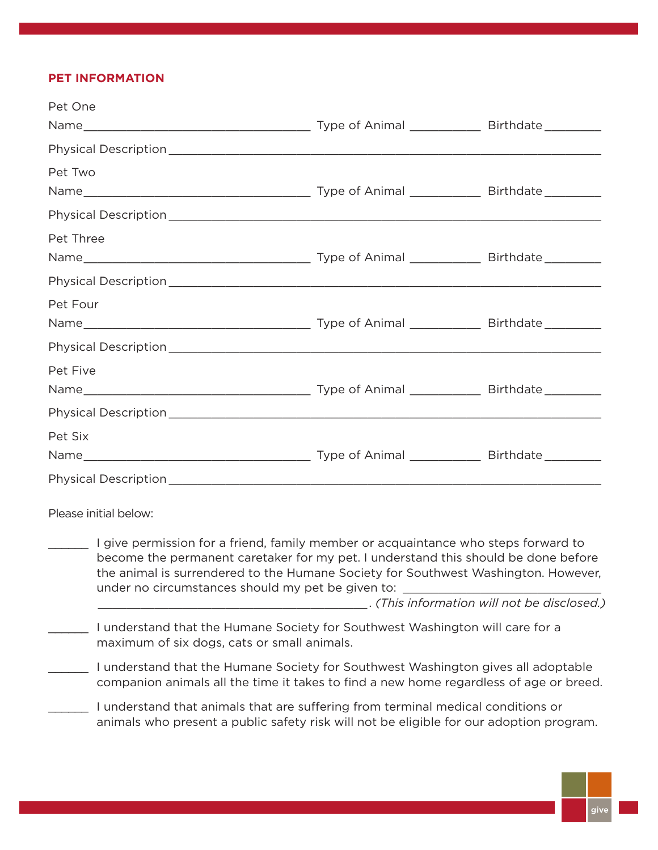## **PET INFORMATION**

| Pet One                                                                                                                                                                                                                                                                                                             |                                             |
|---------------------------------------------------------------------------------------------------------------------------------------------------------------------------------------------------------------------------------------------------------------------------------------------------------------------|---------------------------------------------|
|                                                                                                                                                                                                                                                                                                                     |                                             |
|                                                                                                                                                                                                                                                                                                                     |                                             |
| Pet Two                                                                                                                                                                                                                                                                                                             |                                             |
|                                                                                                                                                                                                                                                                                                                     |                                             |
|                                                                                                                                                                                                                                                                                                                     |                                             |
| Pet Three                                                                                                                                                                                                                                                                                                           |                                             |
|                                                                                                                                                                                                                                                                                                                     |                                             |
|                                                                                                                                                                                                                                                                                                                     |                                             |
| Pet Four                                                                                                                                                                                                                                                                                                            |                                             |
|                                                                                                                                                                                                                                                                                                                     |                                             |
|                                                                                                                                                                                                                                                                                                                     |                                             |
| Pet Five                                                                                                                                                                                                                                                                                                            |                                             |
|                                                                                                                                                                                                                                                                                                                     |                                             |
|                                                                                                                                                                                                                                                                                                                     |                                             |
| Pet Six                                                                                                                                                                                                                                                                                                             |                                             |
|                                                                                                                                                                                                                                                                                                                     |                                             |
|                                                                                                                                                                                                                                                                                                                     |                                             |
| Please initial below:                                                                                                                                                                                                                                                                                               |                                             |
| I give permission for a friend, family member or acquaintance who steps forward to<br>become the permanent caretaker for my pet. I understand this should be done before<br>the animal is surrendered to the Humane Society for Southwest Washington. However,<br>under no circumstances should my pet be given to: | . (This information will not be disclosed.) |
|                                                                                                                                                                                                                                                                                                                     |                                             |
| I understand that the Humane Society for Southwest Washington will care for a<br>maximum of six dogs, cats or small animals.                                                                                                                                                                                        |                                             |
| I understand that the Humane Society for Southwest Washington gives all adoptable<br>companion animals all the time it takes to find a new home regardless of age or breed.                                                                                                                                         |                                             |
| I understand that animals that are suffering from terminal medical conditions or<br>animals who present a public safety risk will not be eligible for our adoption program.                                                                                                                                         |                                             |
|                                                                                                                                                                                                                                                                                                                     |                                             |